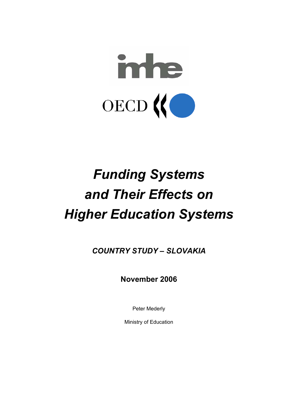

# *Funding Systems and Their Effects on Higher Education Systems*

*COUNTRY STUDY – SLOVAKIA* 

**November 2006** 

Peter Mederly

Ministry of Education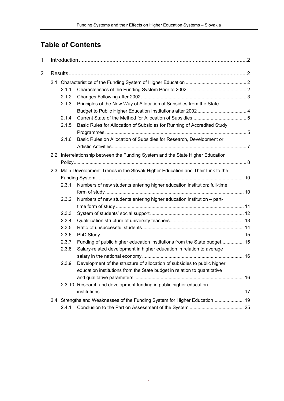# **Table of Contents**

| 1 |  |                                                                                  |                                                                                 |  |  |  |  |  |  |
|---|--|----------------------------------------------------------------------------------|---------------------------------------------------------------------------------|--|--|--|--|--|--|
| 2 |  |                                                                                  |                                                                                 |  |  |  |  |  |  |
|   |  |                                                                                  |                                                                                 |  |  |  |  |  |  |
|   |  | 2.1.1                                                                            |                                                                                 |  |  |  |  |  |  |
|   |  | 2.1.2                                                                            |                                                                                 |  |  |  |  |  |  |
|   |  | 2.1.3                                                                            | Principles of the New Way of Allocation of Subsidies from the State             |  |  |  |  |  |  |
|   |  |                                                                                  |                                                                                 |  |  |  |  |  |  |
|   |  | 2.1.4                                                                            |                                                                                 |  |  |  |  |  |  |
|   |  | 2.1.5                                                                            | Basic Rules for Allocation of Subsidies for Running of Accredited Study         |  |  |  |  |  |  |
|   |  |                                                                                  |                                                                                 |  |  |  |  |  |  |
|   |  | 2.1.6                                                                            | Basic Rules on Allocation of Subsidies for Research, Development or             |  |  |  |  |  |  |
|   |  |                                                                                  |                                                                                 |  |  |  |  |  |  |
|   |  |                                                                                  | 2.2 Interrelationship between the Funding System and the State Higher Education |  |  |  |  |  |  |
|   |  |                                                                                  |                                                                                 |  |  |  |  |  |  |
|   |  | 2.3 Main Development Trends in the Slovak Higher Education and Their Link to the |                                                                                 |  |  |  |  |  |  |
|   |  |                                                                                  |                                                                                 |  |  |  |  |  |  |
|   |  | 2.3.1                                                                            | Numbers of new students entering higher education institution: full-time        |  |  |  |  |  |  |
|   |  |                                                                                  |                                                                                 |  |  |  |  |  |  |
|   |  | 2.3.2                                                                            | Numbers of new students entering higher education institution - part-           |  |  |  |  |  |  |
|   |  |                                                                                  |                                                                                 |  |  |  |  |  |  |
|   |  | 2.3.3                                                                            |                                                                                 |  |  |  |  |  |  |
|   |  | 2.3.4                                                                            |                                                                                 |  |  |  |  |  |  |
|   |  | 2.3.5                                                                            |                                                                                 |  |  |  |  |  |  |
|   |  | 2.3.6                                                                            |                                                                                 |  |  |  |  |  |  |
|   |  | 2.3.7                                                                            | Funding of public higher education institutions from the State budget 15        |  |  |  |  |  |  |
|   |  | 2.3.8                                                                            | Salary-related development in higher education in relation to average           |  |  |  |  |  |  |
|   |  |                                                                                  |                                                                                 |  |  |  |  |  |  |
|   |  | 2.3.9                                                                            | Development of the structure of allocation of subsidies to public higher        |  |  |  |  |  |  |
|   |  |                                                                                  | education institutions from the State budget in relation to quantitative        |  |  |  |  |  |  |
|   |  |                                                                                  |                                                                                 |  |  |  |  |  |  |
|   |  |                                                                                  | 2.3.10 Research and development funding in public higher education              |  |  |  |  |  |  |
|   |  |                                                                                  |                                                                                 |  |  |  |  |  |  |
|   |  |                                                                                  | 2.4 Strengths and Weaknesses of the Funding System for Higher Education 19      |  |  |  |  |  |  |
|   |  | 2.4.1                                                                            |                                                                                 |  |  |  |  |  |  |
|   |  |                                                                                  |                                                                                 |  |  |  |  |  |  |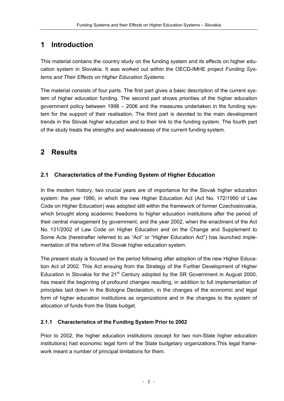# **1 Introduction**

This material contains the country study on the funding system and its effects on higher education system in Slovakia. It was worked out within the OECD-IMHE project *Funding Systems and Their Effects on Higher Education Systems.*

The material consists of four parts. The first part gives a basic description of the current system of higher education funding. The second part shows priorities of the higher education government policy between 1998 – 2006 and the measures undertaken in the funding system for the support of their realisation. The third part is devoted to the main development trends in the Slovak higher education and to their link to the funding system. The fourth part of the study treats the strengths and weaknesses of the current funding system.

# **2 Results**

# **2.1 Characteristics of the Funding System of Higher Education**

In the modern history, two crucial years are of importance for the Slovak higher education system: the year 1990, in which the new Higher Education Act (Act No. 172/1990 of Law Code on Higher Education) was adopted still within the framework of former Czechoslovakia, which brought along academic freedoms to higher education institutions after the period of their central management by government, and the year 2002, when the enactment of the Act No. 131/2002 of Law Code on Higher Education and on the Change and Supplement to Some Acts (hereinafter referred to as "Act" or "Higher Education Act") has launched implementation of the reform of the Slovak higher education system.

The present study is focused on the period following after adoption of the new Higher Education Act of 2002. This Act ensuing from the Strategy of the Further Development of Higher Education in Slovakia for the  $21<sup>st</sup>$  Century adopted by the SR Government in August 2000, has meant the beginning of profound changes resulting, in addition to full implementation of principles laid down in the Bologna Declaration, in the changes of the economic and legal form of higher education institutions as organizations and in the changes to the system of allocation of funds from the State budget.

#### **2.1.1 Characteristics of the Funding System Prior to 2002**

Prior to 2002, the higher education institutions (except for two non-State higher education institutions) had economic legal form of the State budgetary organizations.This legal framework meant a number of principal limitations for them.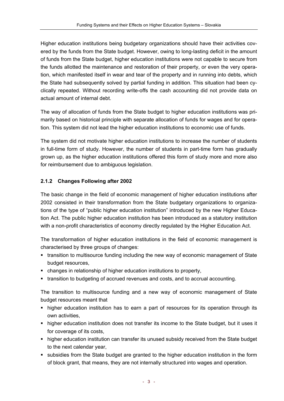Higher education institutions being budgetary organizations should have their activities covered by the funds from the State budget. However, owing to long-lasting deficit in the amount of funds from the State budget, higher education institutions were not capable to secure from the funds allotted the maintenance and restoration of their property, or even the very operation, which manifested itself in wear and tear of the property and in running into debts, which the State had subsequently solved by partial funding in addition. This situation had been cyclically repeated. Without recording write-offs the cash accounting did not provide data on actual amount of internal debt.

The way of allocation of funds from the State budget to higher education institutions was primarily based on historical principle with separate allocation of funds for wages and for operation. This system did not lead the higher education institutions to economic use of funds.

The system did not motivate higher education institutions to increase the number of students in full-time form of study. However, the number of students in part-time form has gradually grown up, as the higher education institutions offered this form of study more and more also for reimbursement due to ambiguous legislation.

#### **2.1.2 Changes Following after 2002**

The basic change in the field of economic management of higher education institutions after 2002 consisted in their transformation from the State budgetary organizations to organizations of the type of "public higher education institution" introduced by the new Higher Education Act. The public higher education institution has been introduced as a statutory institution with a non-profit characteristics of economy directly regulated by the Higher Education Act.

The transformation of higher education institutions in the field of economic management is characterised by three groups of changes:

- transition to multisource funding including the new way of economic management of State budget resources,
- changes in relationship of higher education institutions to property,
- transition to budgeting of accrued revenues and costs, and to accrual accounting.

The transition to multisource funding and a new way of economic management of State budget resources meant that

- higher education institution has to earn a part of resources for its operation through its own activities,
- higher education institution does not transfer its income to the State budget, but it uses it for coverage of its costs,
- higher education institution can transfer its unused subsidy received from the State budget to the next calendar year,
- subsidies from the State budget are granted to the higher education institution in the form of block grant, that means, they are not internally structured into wages and operation.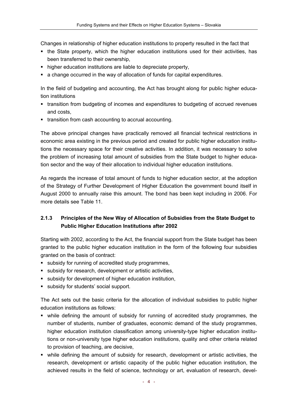Changes in relationship of higher education institutions to property resulted in the fact that

- the State property, which the higher education institutions used for their activities, has been transferred to their ownership,
- higher education institutions are liable to depreciate property,
- **4** a change occurred in the way of allocation of funds for capital expenditures.

In the field of budgeting and accounting, the Act has brought along for public higher education institutions

- transition from budgeting of incomes and expenditures to budgeting of accrued revenues and costs,
- transition from cash accounting to accrual accounting.

The above principal changes have practically removed all financial technical restrictions in economic area existing in the previous period and created for public higher education institutions the necessary space for their creative activities. In addition, it was necessary to solve the problem of increasing total amount of subsidies from the State budget to higher education sector and the way of their allocation to individual higher education institutions.

As regards the increase of total amount of funds to higher education sector, at the adoption of the Strategy of Further Development of Higher Education the government bound itself in August 2000 to annually raise this amount. The bond has been kept including in 2006. For more details see Table 11.

## **2.1.3 Principles of the New Way of Allocation of Subsidies from the State Budget to Public Higher Education Institutions after 2002**

Starting with 2002, according to the Act, the financial support from the State budget has been granted to the public higher education institution in the form of the following four subsidies granted on the basis of contract:

- subsidy for running of accredited study programmes,
- subsidy for research, development or artistic activities,
- subsidy for development of higher education institution,
- **subsidy for students' social support.**

The Act sets out the basic criteria for the allocation of individual subsidies to public higher education institutions as follows:

- while defining the amount of subsidy for running of accredited study programmes, the number of students, number of graduates, economic demand of the study programmes, higher education institution classification among university-type higher education institutions or non-university type higher education institutions, quality and other criteria related to provision of teaching, are decisive,
- while defining the amount of subsidy for research, development or artistic activities, the research, development or artistic capacity of the public higher education institution, the achieved results in the field of science, technology or art, evaluation of research, devel-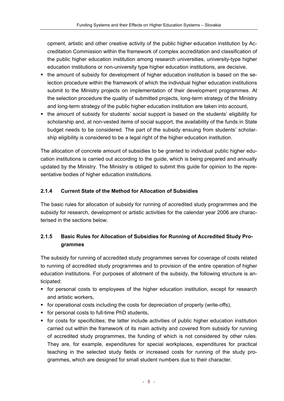opment, artistic and other creative activity of the public higher education institution by Accreditation Commission within the framework of complex accreditation and classification of the public higher education institution among research universities, university-type higher education institutions or non-university type higher education institutions, are decisive,

- the amount of subsidy for development of higher education institution is based on the selection procedure within the framework of which the individual higher education institutions submit to the Ministry projects on implementation of their development programmes. At the selection procedure the quality of submitted projects, long-term strategy of the Ministry and long-term strategy of the public higher education institution are taken into account,
- the amount of subsidy for students' social support is based on the students' eligibility for scholarship and, at non-vested items of social support, the availability of the funds in State budget needs to be considered. The part of the subsidy ensuing from students' scholarship eligibility is considered to be a legal right of the higher education institution.

The allocation of concrete amount of subsidies to be granted to individual public higher education institutions is carried out according to the guide, which is being prepared and annually updated by the Ministry. The Ministry is obliged to submit this guide for opinion to the representative bodies of higher education institutions.

#### **2.1.4 Current State of the Method for Allocation of Subsidies**

The basic rules for allocation of subsidy for running of accredited study programmes and the subsidy for research, development or artistic activities for the calendar year 2006 are characterised in the sections below.

# **2.1.5 Basic Rules for Allocation of Subsidies for Running of Accredited Study Programmes**

The subsidy for running of accredited study programmes serves for coverage of costs related to running of accredited study programmes and to provision of the entire operation of higher education institutions. For purposes of allotment of the subsidy, the following structure is anticipated:

- for personal costs to employees of the higher education institution, except for research and artistic workers,
- for operational costs including the costs for depreciation of property (write-offs),
- **for personal costs to full-time PhD students,**
- for costs for specificities; the latter include activities of public higher education institution carried out within the framework of its main activity and covered from subsidy for running of accredited study programmes, the funding of which is not considered by other rules. They are, for example, expenditures for special workplaces, expenditures for practical teaching in the selected study fields or increased costs for running of the study programmes, which are designed for small student numbers due to their character.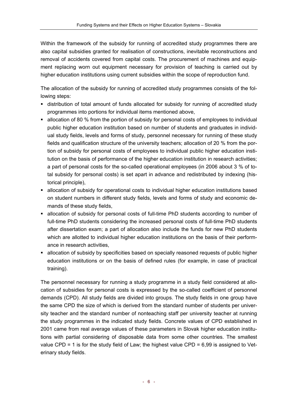Within the framework of the subsidy for running of accredited study programmes there are also capital subsidies granted for realisation of constructions, inevitable reconstructions and removal of accidents covered from capital costs. The procurement of machines and equipment replacing worn out equipment necessary for provision of teaching is carried out by higher education institutions using current subsidies within the scope of reproduction fund.

The allocation of the subsidy for running of accredited study programmes consists of the following steps:

- distribution of total amount of funds allocated for subsidy for running of accredited study programmes into portions for individual items mentioned above,
- allocation of 80 % from the portion of subsidy for personal costs of employees to individual public higher education institution based on number of students and graduates in individual study fields, levels and forms of study, personnel necessary for running of these study fields and qualification structure of the university teachers; allocation of 20 % from the portion of subsidy for personal costs of employees to individual public higher education institution on the basis of performance of the higher education institution in research activities; a part of personal costs for the so-called operational employees (in 2006 about 3 % of total subsidy for personal costs) is set apart in advance and redistributed by indexing (historical principle),
- allocation of subsidy for operational costs to individual higher education institutions based on student numbers in different study fields, levels and forms of study and economic demands of these study fields,
- allocation of subsidy for personal costs of full-time PhD students according to number of full-time PhD students considering the increased personal costs of full-time PhD students after dissertation exam; a part of allocation also include the funds for new PhD students which are allotted to individual higher education institutions on the basis of their performance in research activities,
- allocation of subsidy by specificities based on specially reasoned requests of public higher education institutions or on the basis of defined rules (for example, in case of practical training).

The personnel necessary for running a study programme in a study field considered at allocation of subsidies for personal costs is expressed by the so-called coefficient of personnel demands (CPD). All study fields are divided into groups. The study fields in one group have the same CPD the size of which is derived from the standard number of students per university teacher and the standard number of nonteaching staff per university teacher at running the study programmes in the indicated study fields. Concrete values of CPD established in 2001 came from real average values of these parameters in Slovak higher education institutions with partial considering of disposable data from some other countries. The smallest value CPD = 1 is for the study field of Law; the highest value CPD =  $6,99$  is assigned to Veterinary study fields.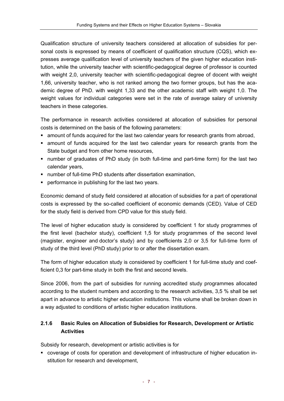Qualification structure of university teachers considered at allocation of subsidies for personal costs is expressed by means of coefficient of qualification structure (CQS), which expresses average qualification level of university teachers of the given higher education institution, while the university teacher with scientific-pedagogical degree of professor is counted with weight 2,0, university teacher with scientific-pedagogical degree of docent with weight 1,66, university teacher, who is not ranked among the two former groups, but has the academic degree of PhD. with weight 1,33 and the other academic staff with weight 1,0. The weight values for individual categories were set in the rate of average salary of university teachers in these categories.

The performance in research activities considered at allocation of subsidies for personal costs is determined on the basis of the following parameters:

- amount of funds acquired for the last two calendar years for research grants from abroad,
- amount of funds acquired for the last two calendar years for research grants from the State budget and from other home resources,
- number of graduates of PhD study (in both full-time and part-time form) for the last two calendar years,
- number of full-time PhD students after dissertation examination,
- performance in publishing for the last two years.

Economic demand of study field considered at allocation of subsidies for a part of operational costs is expressed by the so-called coefficient of economic demands (CED). Value of CED for the study field is derived from CPD value for this study field.

The level of higher education study is considered by coefficient 1 for study programmes of the first level (bachelor study), coefficient 1,5 for study programmes of the second level (magister, engineer and doctor's study) and by coefficients 2,0 or 3,5 for full-time form of study of the third level (PhD study) prior to or after the dissertation exam.

The form of higher education study is considered by coefficient 1 for full-time study and coefficient 0,3 for part-time study in both the first and second levels.

Since 2006, from the part of subsidies for running accredited study programmes allocated according to the student numbers and according to the research activities, 3,5 % shall be set apart in advance to artistic higher education institutions. This volume shall be broken down in a way adjusted to conditions of artistic higher education institutions.

## **2.1.6 Basic Rules on Allocation of Subsidies for Research, Development or Artistic Activities**

Subsidy for research, development or artistic activities is for

 coverage of costs for operation and development of infrastructure of higher education institution for research and development,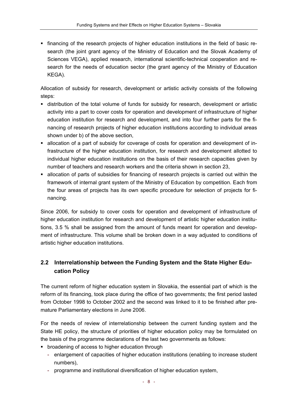financing of the research projects of higher education institutions in the field of basic research (the joint grant agency of the Ministry of Education and the Slovak Academy of Sciences VEGA), applied research, international scientific-technical cooperation and research for the needs of education sector (the grant agency of the Ministry of Education KEGA).

Allocation of subsidy for research, development or artistic activity consists of the following steps:

- distribution of the total volume of funds for subsidy for research, development or artistic activity into a part to cover costs for operation and development of infrastructure of higher education institution for research and development, and into four further parts for the financing of research projects of higher education institutions according to individual areas shown under b) of the above section,
- allocation of a part of subsidy for coverage of costs for operation and development of infrastructure of the higher education institution, for research and development allotted to individual higher education institutions on the basis of their research capacities given by number of teachers and research workers and the criteria shown in section 23,
- allocation of parts of subsidies for financing of research projects is carried out within the framework of internal grant system of the Ministry of Education by competition. Each from the four areas of projects has its own specific procedure for selection of projects for financing.

Since 2006, for subsidy to cover costs for operation and development of infrastructure of higher education institution for research and development of artistic higher education institutions, 3.5 % shall be assigned from the amount of funds meant for operation and development of infrastructure. This volume shall be broken down in a way adjusted to conditions of artistic higher education institutions.

# **2.2 Interrelationship between the Funding System and the State Higher Education Policy**

The current reform of higher education system in Slovakia, the essential part of which is the reform of its financing, took place during the office of two governments; the first period lasted from October 1998 to October 2002 and the second was linked to it to be finished after premature Parliamentary elections in June 2006.

For the needs of review of interrelationship between the current funding system and the State HE policy, the structure of priorities of higher education policy may be formulated on the basis of the programme declarations of the last two governments as follows:

- **•** broadening of access to higher education through
	- enlargement of capacities of higher education institutions (enabling to increase student numbers),
	- programme and institutional diversification of higher education system,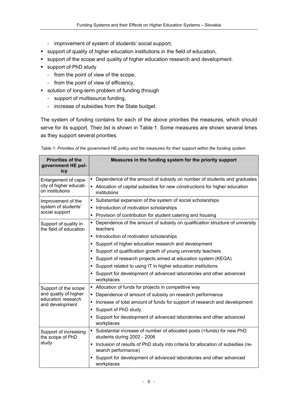- improvement of system of students' social support,
- support of quality of higher education institutions in the field of education,
- support of the scope and quality of higher education research and development.
- support of PhD study
	- from the point of view of the scope,
	- from the point of view of efficiency,
- solution of long-term problem of funding through
	- support of multisource funding,
	- increase of subsidies from the State budget.

The system of funding contains for each of the above priorities the measures, which should serve for its support. Their list is shown in Table 1. Some measures are shown several times as they support several priorities.

| Table 1: Priorities of the government HE policy and the measures for their support within the funding system |  |  |
|--------------------------------------------------------------------------------------------------------------|--|--|
|                                                                                                              |  |  |

| <b>Priorities of the</b><br>government HE pol-<br>icy | Measures in the funding system for the priority support                                                   |
|-------------------------------------------------------|-----------------------------------------------------------------------------------------------------------|
| Enlargement of capa-                                  | • Dependence of the amount of subsidy on number of students and graduates                                 |
| city of higher educati-<br>on institutions            | • Allocation of capital subsidies for new constructions for higher education<br>institutions              |
| Improvement of the                                    | • Substantial expansion of the system of social scholarships                                              |
| system of students'                                   | • Introduction of motivation scholarships                                                                 |
| social support                                        | • Provision of contribution for student catering and housing                                              |
| Support of quality in<br>the field of education       | • Dependence of the amount of subsidy on qualification structure of university<br>teachers                |
|                                                       | • Introduction of motivation scholarships                                                                 |
|                                                       | • Support of higher education research and development                                                    |
|                                                       | • Support of qualification growth of young university teachers                                            |
|                                                       | • Support of research projects aimed at education system (KEGA)                                           |
|                                                       | • Support related to using IT in higher education institutions                                            |
|                                                       | • Support for development of advanced laboratories and other advanced<br>workplaces                       |
| Support of the scope                                  | • Allocation of funds for projects in competitive way                                                     |
| and quality of higher                                 | • Dependence of amount of subsidy on research performance                                                 |
| education research<br>and development                 | Increase of total amount of funds for support of research and development<br>٠                            |
|                                                       | Support of PhD study<br>٠                                                                                 |
|                                                       | • Support for development of advanced laboratories and other advanced<br>workplaces                       |
| Support of increasing<br>the scope of PhD             | • Substantial increase of number of allocated posts (=funds) for new PhD<br>students during 2002 - 2006   |
| study                                                 | • Inclusion of results of PhD study into criteria for allocation of subsidies (re-<br>search performance) |
|                                                       | Support for development of advanced laboratories and other advanced<br>workplaces                         |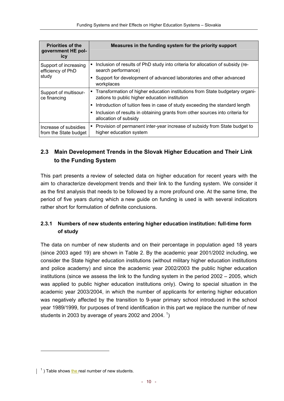| <b>Priorities of the</b><br>government HE pol-<br>icy | Measures in the funding system for the priority support                                                                          |
|-------------------------------------------------------|----------------------------------------------------------------------------------------------------------------------------------|
| Support of increasing<br>efficiency of PhD            | • Inclusion of results of PhD study into criteria for allocation of subsidy (re-<br>search performance)                          |
| study                                                 | Support for development of advanced laboratories and other advanced<br>workplaces                                                |
| Support of multisour-<br>ce financing                 | • Transformation of higher education institutions from State budgetary organi-<br>zations to public higher education institution |
|                                                       | Introduction of tuition fees in case of study exceeding the standard length                                                      |
|                                                       | Inclusion of results in obtaining grants from other sources into criteria for<br>allocation of subsidy                           |
| Increase of subsidies<br>from the State budget        | • Provision of permanent inter-year increase of subsidy from State budget to<br>higher education system                          |

# **2.3 Main Development Trends in the Slovak Higher Education and Their Link to the Funding System**

This part presents a review of selected data on higher education for recent years with the aim to characterize development trends and their link to the funding system. We consider it as the first analysis that needs to be followed by a more profound one. At the same time, the period of five years during which a new guide on funding is used is with several indicators rather short for formulation of definite conclusions.

## **2.3.1 Numbers of new students entering higher education institution: full-time form of study**

The data on number of new students and on their percentage in population aged 18 years (since 2003 aged 19) are shown in Table 2. By the academic year 2001/2002 including, we consider the State higher education institutions (without military higher education institutions and police academy) and since the academic year 2002/2003 the public higher education institutions (since we assess the link to the funding system in the period 2002 – 2005, which was applied to public higher education institutions only). Owing to special situation in the academic year 2003/2004, in which the number of applicants for entering higher education was negatively affected by the transition to 9-year primary school introduced in the school year 1989/1999, for purposes of trend identification in this part we replace the number of new students in 2003 by average of years 2002 and 2004.  $1$ )

 $<sup>1</sup>$ ) Table shows the real number of new students.</sup>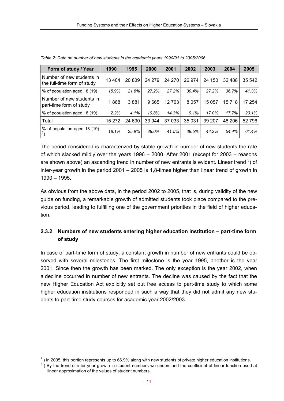| Form of study / Year                                     | 1990    | 1995   | 2000   | 2001   | 2002    | 2003   | 2004     | 2005   |
|----------------------------------------------------------|---------|--------|--------|--------|---------|--------|----------|--------|
| Number of new students in<br>the full-time form of study | 13 4 04 | 20 809 | 24 279 | 24 270 | 26 974  | 24 150 | 32 4 8 8 | 35 542 |
| % of population aged 18 (19)                             | 15.9%   | 21.8%  | 27.2%  | 27.2%  | 30.4%   | 27.2%  | 36.7%    | 41.3%  |
| Number of new students in<br>part-time form of study     | 1868    | 3881   | 9665   | 12 763 | 8 0 5 7 | 15 057 | 15718    | 17 254 |
| % of population aged 18 (19)                             | 2.2%    | 4.1%   | 10.8%  | 14.3%  | $9.1\%$ | 17.0%  | 17.7%    | 20.1%  |
| Total                                                    | 15 272  | 24 690 | 33 944 | 37 033 | 35 0 31 | 39 207 | 48 206   | 52 796 |
| % of population aged 18 (19)<br>2 <sub>1</sub>           | 18.1%   | 25.9%  | 38.0%  | 41.5%  | 39.5%   | 44.2%  | 54.4%    | 61.4%  |

*Table 2: Data on number of new students in the academic years 1990/91 to 2005/2006* 

The period considered is characterized by stable growth in number of new students the rate of which slacked mildly over the years 1996 – 2000. After 2001 (except for 2003 – reasons are shown above) an ascending trend in number of new entrants is evident. Linear trend  $3$ ) of inter-year growth in the period 2001 – 2005 is 1,8-times higher than linear trend of growth in 1990 – 1995.

As obvious from the above data, in the period 2002 to 2005, that is, during validity of the new guide on funding, a remarkable growth of admitted students took place compared to the previous period, leading to fulfilling one of the government priorities in the field of higher education.

# **2.3.2 Numbers of new students entering higher education institution – part-time form of study**

In case of part-time form of study, a constant growth in number of new entrants could be observed with several milestones. The first milestone is the year 1995, another is the year 2001. Since then the growth has been marked. The only exception is the year 2002, when a decline occurred in number of new entrants. The decline was caused by the fact that the new Higher Education Act explicitly set out free access to part-time study to which some higher education institutions responded in such a way that they did not admit any new students to part-time study courses for academic year 2002/2003.

<sup>&</sup>lt;sup>2</sup>) In 2005, this portion represents up to 66.9% along with new students of private higher education institutions.<br><sup>3</sup>) By the trend of inter vear growth in student pumbers we understand the east ising function used <sup>3</sup>) By the trend of inter-year growth in student numbers we understand the coefficient of linear function used at linear approximation of the values of student numbers.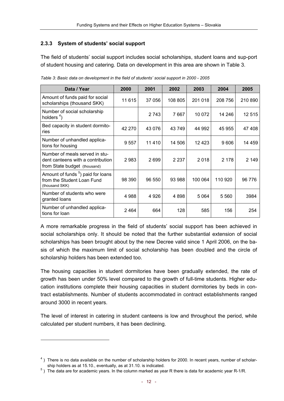#### **2.3.3 System of students' social support**

The field of students' social support includes social scholarships, student loans and sup-port of student housing and catering. Data on development in this area are shown in Table 3.

| Data / Year                                                                                         | 2000    | 2001    | 2002    | 2003    | 2004    | 2005    |
|-----------------------------------------------------------------------------------------------------|---------|---------|---------|---------|---------|---------|
| Amount of funds paid for social<br>scholarships (thousand SKK)                                      | 11 615  | 37 056  | 108 805 | 201 018 | 208 756 | 210 890 |
| Number of social scholarship<br>holders $4$ )                                                       |         | 2 743   | 7667    | 10 072  | 14 24 6 | 12 515  |
| Bed capacity in student dormito-<br>ries                                                            | 42 270  | 43 0 76 | 43749   | 44 992  | 45 955  | 47408   |
| Number of unhandled applica-<br>tions for housing                                                   | 9 5 5 7 | 11410   | 14 506  | 12 4 23 | 9606    | 14 459  |
| Number of meals served in stu-<br>dent canteens with a contribution<br>from State budget (thousand) | 2983    | 2699    | 2 2 3 7 | 2018    | 2 178   | 2 1 4 9 |
| Amount of funds <sup>5</sup> ) paid for loans<br>from the Student Loan Fund<br>(thousand SKK)       | 98 390  | 96 550  | 93 988  | 100 064 | 110 920 | 96 776  |
| Number of students who were<br>granted loans                                                        | 4 9 8 8 | 4926    | 4898    | 5 0 64  | 5560    | 3984    |
| Number of unhandled applica-<br>tions for loan                                                      | 2464    | 664     | 128     | 585     | 156     | 254     |

*Table 3: Basic data on development in the field of students' social support in 2000 - 2005* 

A more remarkable progress in the field of students' social support has been achieved in social scholarships only. It should be noted that the further substantial extension of social scholarships has been brought about by the new Decree valid since 1 April 2006, on the basis of which the maximum limit of social scholarship has been doubled and the circle of scholarship holders has been extended too.

The housing capacities in student dormitories have been gradually extended, the rate of growth has been under 50% level compared to the growth of full-time students. Higher education institutions complete their housing capacities in student dormitories by beds in contract establishments. Number of students accommodated in contract establishments ranged around 3000 in recent years.

The level of interest in catering in student canteens is low and throughout the period, while calculated per student numbers, it has been declining.

 $<sup>4</sup>$ ) There is no data available on the number of scholarship holders for 2000. In recent years, number of scholar-</sup> ship holders as at 15.10., eventually, as at 31.10. is indicated.

<sup>&</sup>lt;sup>5</sup>) The data are for academic years. In the column marked as year R there is data for academic year R-1/R.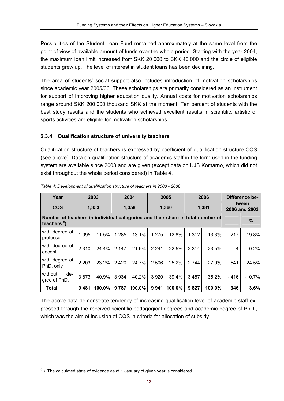Possibilities of the Student Loan Fund remained approximately at the same level from the point of view of available amount of funds over the whole period. Starting with the year 2004, the maximum loan limit increased from SKK 20 000 to SKK 40 000 and the circle of eligible students grew up. The level of interest in student loans has been declining.

The area of students' social support also includes introduction of motivation scholarships since academic year 2005/06. These scholarships are primarily considered as an instrument for support of improving higher education quality. Annual costs for motivation scholarships range around SKK 200 000 thousand SKK at the moment. Ten percent of students with the best study results and the students who achieved excellent results in scientific, artistic or sports activities are eligible for motivation scholarships.

#### **2.3.4 Qualification structure of university teachers**

Qualification structure of teachers is expressed by coefficient of qualification structure CQS (see above). Data on qualification structure of academic staff in the form used in the funding system are available since 2003 and are given (except data on UJS Komárno, which did not exist throughout the whole period considered) in Table 4.

| Year                                                                                                      | 2003    |        |         | 2004   |         | 2005   |         | 2006   | Difference be- |                        |  |
|-----------------------------------------------------------------------------------------------------------|---------|--------|---------|--------|---------|--------|---------|--------|----------------|------------------------|--|
| <b>CQS</b>                                                                                                | 1,353   |        | 1,358   |        |         | 1,360  |         | 1,381  |                | tween<br>2006 and 2003 |  |
| Number of teachers in individual categories and their share in total number of<br>teachers <sup>6</sup> ) |         |        |         |        |         |        |         |        |                | $\%$                   |  |
| with degree of<br>professor                                                                               | 1 0 9 5 | 11.5%  | 1 2 8 5 | 13.1%  | 1 2 7 5 | 12.8%  | 1 3 1 2 | 13.3%  | 217            | 19.8%                  |  |
| with degree of<br>docent                                                                                  | 2 3 1 0 | 24.4%  | 2 147   | 21.9%  | 2 2 4 1 | 22.5%  | 2 3 1 4 | 23.5%  | 4              | 0.2%                   |  |
| with degree of<br>PhD. only                                                                               | 2 2 0 3 | 23.2%  | 2420    | 24.7%  | 2 506   | 25.2%  | 2 7 4 4 | 27.9%  | 541            | 24.5%                  |  |
| without<br>de-<br>gree of PhD.                                                                            | 3873    | 40.9%  | 3934    | 40.2%  | 3920    | 39.4%  | 3 4 5 7 | 35.2%  | $-416$         | $-10.7%$               |  |
| <b>Total</b>                                                                                              | 9481    | 100.0% | 9787    | 100.0% | 9941    | 100.0% | 9827    | 100.0% | 346            | 3.6%                   |  |

*Table 4: Development of qualification structure of teachers in 2003 - 2006* 

The above data demonstrate tendency of increasing qualification level of academic staff expressed through the received scientific-pedagogical degrees and academic degree of PhD., which was the aim of inclusion of CQS in criteria for allocation of subsidy.

 $^6$ ) The calculated state of evidence as at 1 January of given year is considered.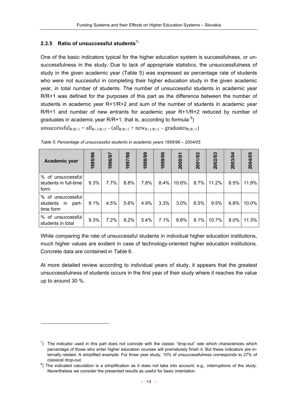#### **2.3.5 Ratio of unsuccessful students**7)

One of the basic indicators typical for the higher education system is successfulness, or unsuccessfulness in the study. Due to lack of appropriate statistics, the unsuccessfulness of study in the given academic year (Table 5) was expressed as percentage rate of students who were not successful in completing their higher education study in the given academic year, in total number of students. The number of unsuccessful students in academic year R/R+1 was defined for the purposes of this part as the difference between the number of students in academic year R+1/R+2 and sum of the number of students in academic year R/R+1 and number of new entrants for academic year R+1/R+2 reduced by number of graduates in academic year R/R+1, that is, according to formula  $^{8}$ )

unsuccessful<sub>R/R+1</sub> =  $all_{R+1/R+2} - (all_{R/R+1} + new_{R+1/R+2} - graduates_{R/R+1})$ 

| <b>Academic year</b>                                      | 1995/96 | 1996697 | 1997/98 | 1998/99 | 1999/00 | 2000/01 | 2001/02 | 2002/03 | 2003/04 | 2004/05 |
|-----------------------------------------------------------|---------|---------|---------|---------|---------|---------|---------|---------|---------|---------|
| % of unsuccessful<br>students in full-time<br>form        | 9.3%    | 7.7%    | 8.8%    | 7.8%    | 8.4%    | 10.6%   | 8.7%    | 11.2%   | 8.5%    | 11.9%   |
| % of unsuccessful<br>students<br>part-<br>in<br>time form | 9.1%    | 4.5%    | 5.6%    | 4.9%    | 3.3%    | $3.0\%$ | 6.5%    | 9.5%    | 6.8%    | 10.0%   |
| % of unsuccessful<br>students in total                    | 9.3%    | 7.2%    | 8.2%    | 5.4%    | 7.1%    | 8.6%    | 8.1%    | 10.7%   | 8.0%    | 11.3%   |

| Table 5: Percentage of unsuccessful students in academic years 1995/96 - 2004/05 |  |  |  |
|----------------------------------------------------------------------------------|--|--|--|
|                                                                                  |  |  |  |
|                                                                                  |  |  |  |

While comparing the rate of unsuccessful students in individual higher education institutions, much higher values are evident in case of technology-oriented higher education institutions. Concrete data are contained in Table 6.

At more detailed review according to individual years of study, it appears that the greatest unsuccessfulness of students occurs in the first year of their study where it reaches the value up to around 30 %.

 $^7$ ) The indicator used in this part does not coincide with the classic "drop-out" rate which characterizes which percentage of those who enter higher education courses will prematurely finish it. But these indicators are internally related. A simplified example: For three year study, 10% of unsuccessfulness corresponds to 27% of classical drop-out. 8

 $8$ ) The indicated calculation is a simplification as it does not take into account, e.g., interruptions of the study. Nevertheless we consider the presented results as useful for basic orientation.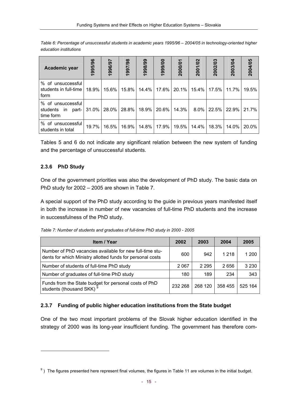| Academic year                                          | 1995/96 | 1996/97 | 1997/98 | 1998/99 | 1999/00 | 2000/01 | 2001/02 | 2002/03 | 2003/04 | 2004/05 |
|--------------------------------------------------------|---------|---------|---------|---------|---------|---------|---------|---------|---------|---------|
| % of unsuccessful<br>students in full-time<br>form     | 18.9%   | 15.6%   | 15.8%   | 14.4%   | 17.6%   | 20.1%   | 15.4%   | 17.5%   | 11.7%   | 19.5%   |
| % of unsuccessful<br>part-<br>students in<br>time form | 31.0%   | 28.0%   | 28.8%   | 18.9%   | 20.6%   | 14.3%   | $8.0\%$ | 22.5%   | 22.9%   | 21.7%   |
| % of unsuccessful<br>students in total                 | 19.7%   | 16.5%   | 16.9%   | 14.8%   | 17.9%   | 19.5%   | 14.4%   | 18.3%   | 14.0%   | 20.0%   |

*Table 6: Percentage of unsuccessful students in academic years 1995/96 – 2004/05 in technology-oriented higher education institutions* 

Tables 5 and 6 do not indicate any significant relation between the new system of funding and the percentage of unsuccessful students.

#### **2.3.6 PhD Study**

One of the government priorities was also the development of PhD study. The basic data on PhD study for 2002 – 2005 are shown in Table 7.

A special support of the PhD study according to the guide in previous years manifested itself in both the increase in number of new vacancies of full-time PhD students and the increase in successfulness of the PhD study.

*Table 7: Number of students and graduates of full-time PhD study in 2000 - 2005* 

| Item / Year                                                                                                            | 2002    | 2003    | 2004    | 2005    |
|------------------------------------------------------------------------------------------------------------------------|---------|---------|---------|---------|
| Number of PhD vacancies available for new full-time stu-<br>dents for which Ministry allotted funds for personal costs | 600     | 942     | 1 2 1 8 | 1 200   |
| Number of students of full-time PhD study                                                                              | 2067    | 2 2 9 5 | 2656    | 3 2 3 0 |
| Number of graduates of full-time PhD study                                                                             | 180     | 189     | 234     | 343     |
| Funds from the State budget for personal costs of PhD<br>students (thousand SKK) <sup>9</sup>                          | 232 268 | 268 120 | 358 455 | 525 164 |

#### **2.3.7 Funding of public higher education institutions from the State budget**

One of the two most important problems of the Slovak higher education identified in the strategy of 2000 was its long-year insufficient funding. The government has therefore com-

 $9$ ) The figures presented here represent final volumes, the figures in Table 11 are volumes in the initial budget.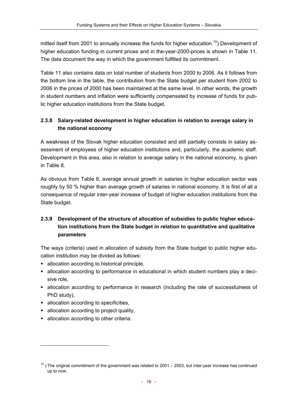mitted itself from 2001 to annually increase the funds for higher education.<sup>10</sup>) Development of higher education funding in current prices and in the-year-2000-prices is shown in Table 11. The data document the way in which the government fulfilled its commitment.

Table 11 also contains data on total number of students from 2000 to 2006. As it follows from the bottom line in the table, the contribution from the State budget per student from 2002 to 2006 in the prices of 2000 has been maintained at the same level. In other words, the growth in student numbers and inflation were sufficiently compensated by increase of funds for public higher education institutions from the State budget.

# **2.3.8 Salary-related development in higher education in relation to average salary in the national economy**

A weakness of the Slovak higher education consisted and still partially consists in salary assessment of employees of higher education institutions and, particularly, the academic staff. Development in this area, also in relation to average salary in the national economy, is given in Table 8.

As obvious from Table 8, average annual growth in salaries in higher education sector was roughly by 50 % higher than average growth of salaries in national economy. It is first of all a consequence of regular inter-year increase of budget of higher education institutions from the State budget.

# **2.3.9 Development of the structure of allocation of subsidies to public higher education institutions from the State budget in relation to quantitative and qualitative parameters**

The ways (criteria) used in allocation of subsidy from the State budget to public higher education institution may be divided as follows:

- allocation according to historical principle,
- allocation according to performance in educational in which student numbers play a decisive role,
- allocation according to performance in research (including the rate of successfulness of PhD study),
- allocation according to specificities,
- allocation according to project quality,
- **allocation according to other criteria.**

 $\overline{a}$ 

 $10$ ) The original commitment of the government was related to 2001 – 2003, but inter-year increase has continued up to now.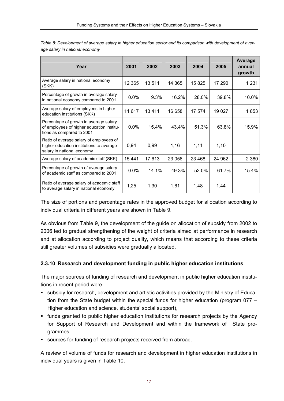| Year                                                                                                              | 2001    | 2002  | 2003    | 2004    | 2005    | Average<br>annual<br>growth |
|-------------------------------------------------------------------------------------------------------------------|---------|-------|---------|---------|---------|-----------------------------|
| Average salary in national economy<br>(SKK)                                                                       | 12 3 65 | 13511 | 14 3 65 | 15 8 25 | 17 290  | 1 2 3 1                     |
| Percentage of growth in average salary<br>in national economy compared to 2001                                    | 0.0%    | 9.3%  | 16.2%   | 28.0%   | 39.8%   | 10.0%                       |
| Average salary of employees in higher<br>education institutions (SKK)                                             | 11 617  | 13411 | 16 658  | 17 574  | 19 0 27 | 1853                        |
| Percentage of growth in average salary<br>of employees of higher education institu-<br>tions as compared to 2001  | 0.0%    | 15.4% | 43.4%   | 51.3%   | 63.8%   | 15.9%                       |
| Ratio of average salary of employees of<br>higher education institutions to average<br>salary in national economy | 0,94    | 0,99  | 1,16    | 1,11    | 1,10    |                             |
| Average salary of academic staff (SKK)                                                                            | 15 4 41 | 17613 | 23 056  | 23 4 68 | 24 962  | 2 3 8 0                     |
| Percentage of growth of average salary<br>of academic staff as compared to 2001                                   | $0.0\%$ | 14.1% | 49.3%   | 52.0%   | 61.7%   | 15.4%                       |
| Ratio of average salary of academic staff<br>to average salary in national economy                                | 1,25    | 1,30  | 1,61    | 1,48    | 1,44    |                             |

*Table 8: Development of average salary in higher education sector and its comparison with development of average salary in national economy* 

The size of portions and percentage rates in the approved budget for allocation according to individual criteria in different years are shown in Table 9.

As obvious from Table 9, the development of the guide on allocation of subsidy from 2002 to 2006 led to gradual strengthening of the weight of criteria aimed at performance in research and at allocation according to project quality, which means that according to these criteria still greater volumes of subsidies were gradually allocated.

#### **2.3.10 Research and development funding in public higher education institutions**

The major sources of funding of research and development in public higher education institutions in recent period were

- subsidy for research, development and artistic activities provided by the Ministry of Education from the State budget within the special funds for higher education (program 077 – Higher education and science, students' social support),
- funds granted to public higher education institutions for research projects by the Agency for Support of Research and Development and within the framework of State programmes,
- sources for funding of research projects received from abroad.

A review of volume of funds for research and development in higher education institutions in individual years is given in Table 10.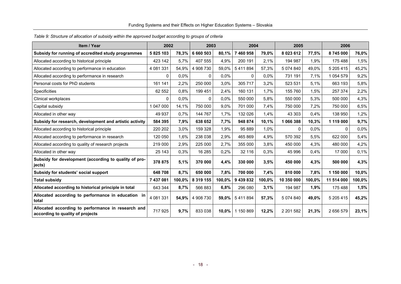| Item / Year                                                                            | 2002      |        | 2003      |        | 2004      |        | 2005        |         | 2006          |         |
|----------------------------------------------------------------------------------------|-----------|--------|-----------|--------|-----------|--------|-------------|---------|---------------|---------|
| Subsidy for running of accredited study programmes                                     | 5 825 103 | 78,3%  | 6 660 503 | 80,1%  | 7 460 958 | 79,0%  | 8 0 23 6 12 | 77,5%   | 8745000       | 76,0%   |
| Allocated according to historical principle                                            | 423 142   | 5,7%   | 407 555   | 4,9%   | 200 191   | 2,1%   | 194 987     | 1,9%    | 175 488       | 1,5%    |
| Allocated according to performance in education                                        | 4 081 331 | 54,9%  | 4 908 730 | 59,0%  | 5411894   | 57,3%  | 5 074 840   | 49,0%   | 5 205 415     | 45,2%   |
| Allocated according to performance in research                                         | 0         | 0,0%   | $\Omega$  | 0,0%   | $\Omega$  | 0,0%   | 731 191     | 7,1%    | 1 0 5 4 5 7 9 | 9,2%    |
| Personal costs for PhD students                                                        | 161 141   | 2,2%   | 250 000   | 3,0%   | 305 717   | 3,2%   | 523 531     | 5,1%    | 663 193       | 5,8%    |
| Specificities                                                                          | 62 552    | 0.8%   | 199 451   | 2,4%   | 160 131   | 1,7%   | 155 760     | 1,5%    | 257 374       | 2,2%    |
| Clinical workplaces                                                                    | $\Omega$  | 0,0%   | 0         | 0,0%   | 550 000   | 5,8%   | 550 000     | 5,3%    | 500 000       | 4,3%    |
| Capital subsidy                                                                        | 1 047 000 | 14,1%  | 750 000   | 9,0%   | 701 000   | 7,4%   | 750 000     | 7,2%    | 750 000       | 6,5%    |
| Allocated in other way                                                                 | 49 937    | 0,7%   | 144 767   | 1,7%   | 132 026   | 1,4%   | 43 303      | 0,4%    | 138 950       | 1,2%    |
| Subsidy for research, development and artistic activity                                | 584 395   | 7,9%   | 638 652   | 7,7%   | 948 874   | 10,1%  | 1066388     | 10,3%   | 1 119 000     | 9,7%    |
| Allocated according to historical principle                                            | 220 202   | 3,0%   | 159 328   | 1,9%   | 95 889    | 1,0%   | 0           | $0.0\%$ | 0             | $0,0\%$ |
| Allocated according to performance in research                                         | 120 050   | 1,6%   | 238 038   | 2,9%   | 465 869   | 4,9%   | 570 392     | 5,5%    | 622 000       | 5,4%    |
| Allocated according to quality of research projects                                    | 219 000   | 2,9%   | 225 000   | 2,7%   | 355 000   | 3,8%   | 450 000     | 4,3%    | 480 000       | 4,2%    |
| Allocated in other way                                                                 | 25 143    | 0,3%   | 16 285    | 0,2%   | 32 116    | 0,3%   | 45 996      | 0,4%    | 17 000        | 0,1%    |
| Subsidy for development (according to quality of pro-<br>jects)                        | 378 875   | 5,1%   | 370 000   | 4,4%   | 330 000   | 3,5%   | 450 000     | 4,3%    | 500 000       | 4,3%    |
| Subsidy for students' social support                                                   | 648708    | 8,7%   | 650 000   | 7,8%   | 700 000   | 7,4%   | 810 000     | 7,8%    | 1 150 000     | 10,0%   |
| <b>Total subsidy</b>                                                                   | 7 437 081 | 100,0% | 8 319 155 | 100,0% | 9 439 832 | 100,0% | 10 350 000  | 100,0%  | 11 514 000    | 100,0%  |
| Allocated according to historical principle in total                                   | 643 344   | 8,7%   | 566 883   | 6,8%   | 296 080   | 3,1%   | 194 987     | 1,9%    | 175 488       | 1,5%    |
| Allocated according to performance in education in<br>total                            | 4 081 331 | 54,9%  | 4 908 730 | 59,0%  | 5411894   | 57,3%  | 5 074 840   | 49,0%   | 5 205 415     | 45,2%   |
| Allocated according to performance in research and<br>according to quality of projects | 717925    | 9,7%   | 833 038   | 10,0%  | 1 150 869 | 12,2%  | 2 201 582   | 21,3%   | 2 656 579     | 23,1%   |

#### Funding Systems and their Effects on Higher Education Systems – Slovakia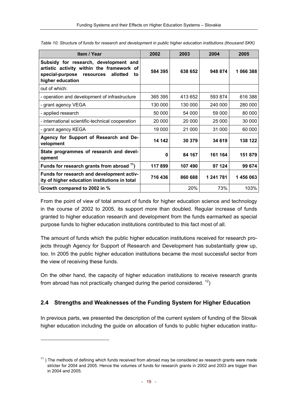| Item / Year                                                                                                                                              | 2002    | 2003    | 2004      | 2005      |
|----------------------------------------------------------------------------------------------------------------------------------------------------------|---------|---------|-----------|-----------|
| Subsidy for research, development and<br>artistic activity within the framework of<br>special-purpose<br>allotted<br>resources<br>to<br>higher education | 584 395 | 638 652 | 948 874   | 1 066 388 |
| out of which:                                                                                                                                            |         |         |           |           |
| - operation and development of infrastructure                                                                                                            | 365 395 | 413 652 | 593 874   | 616 388   |
| - grant agency VEGA                                                                                                                                      | 130 000 | 130 000 | 240 000   | 280 000   |
| - applied research                                                                                                                                       | 50 000  | 54 000  | 59 000    | 80 000    |
| - international scientific-technical cooperation                                                                                                         | 20 000  | 20 000  | 25 000    | 30 000    |
| - grant agency KEGA                                                                                                                                      | 19 000  | 21 000  | 31 000    | 60 000    |
| Agency for Support of Research and De-<br>velopment                                                                                                      | 14 142  | 30 379  | 34 619    | 138 122   |
| State programmes of research and devel-<br>opment                                                                                                        | 0       | 84 167  | 161 164   | 151 879   |
| Funds for research grants from abroad <sup>11</sup> )                                                                                                    | 117899  | 107490  | 97 124    | 99 674    |
| Funds for research and development activ-<br>ity of higher education institutions in total                                                               | 716 436 | 860 688 | 1 241 781 | 1456063   |
| Growth compared to 2002 in %                                                                                                                             |         | 20%     | 73%       | 103%      |

*Table 10: Structure of funds for research and development in public higher education institutions (thousand SKK)* 

From the point of view of total amount of funds for higher education science and technology in the course of 2002 to 2005, its support more than doubled. Regular increase of funds granted to higher education research and development from the funds earmarked as special purpose funds to higher education institutions contributed to this fact most of all.

The amount of funds which the public higher education institutions received for research projects through Agency for Support of Research and Development has substantially grew up, too. In 2005 the public higher education institutions became the most successful sector from the view of receiving these funds.

On the other hand, the capacity of higher education institutions to receive research grants from abroad has not practically changed during the period considered.  $^{12}$ )

# **2.4 Strengths and Weaknesses of the Funding System for Higher Education**

In previous parts, we presented the description of the current system of funding of the Slovak higher education including the guide on allocation of funds to public higher education institu-

 $11$ ) The methods of defining which funds received from abroad may be considered as research grants were made stricter for 2004 and 2005. Hence the volumes of funds for research grants in 2002 and 2003 are bigger than in 2004 and 2005.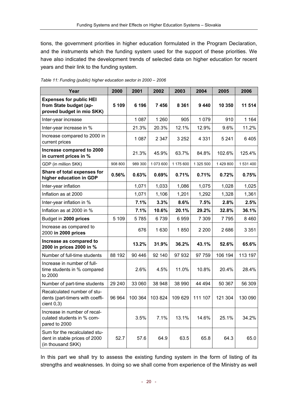tions, the government priorities in higher education formulated in the Program Declaration, and the instruments which the funding system used for the support of these priorities. We have also indicated the development trends of selected data on higher education for recent years and their link to the funding system.

| Year                                                                                  | 2000    | 2001    | 2002      | 2003      | 2004      | 2005      | 2006      |
|---------------------------------------------------------------------------------------|---------|---------|-----------|-----------|-----------|-----------|-----------|
| <b>Expenses for public HEI</b><br>from State budget (ap-<br>proved budget in mio SKK) | 5 1 0 9 | 6 196   | 7456      | 8 3 6 1   | 9440      | 10 350    | 11 514    |
| Inter-year increase                                                                   |         | 1 0 8 7 | 1 2 6 0   | 905       | 1 0 7 9   | 910       | 1 1 6 4   |
| Inter-year increase in %                                                              |         | 21.3%   | 20.3%     | 12.1%     | 12.9%     | 9.6%      | 11.2%     |
| Increase compared to 2000 in<br>current prices                                        |         | 1 0 8 7 | 2 3 4 7   | 3 2 5 2   | 4 3 3 1   | 5 2 4 1   | 6405      |
| Increase compared to 2000<br>in current prices in %                                   |         | 21.3%   | 45.9%     | 63.7%     | 84.8%     | 102.6%    | 125.4%    |
| GDP (in million SKK)                                                                  | 908 800 | 989 300 | 1 073 600 | 1 175 600 | 1 325 500 | 1 429 800 | 1 531 400 |
| Share of total expenses for<br>higher education in GDP                                | 0.56%   | 0.63%   | 0.69%     | 0.71%     | 0.71%     | 0.72%     | 0.75%     |
| Inter-year inflation                                                                  |         | 1,071   | 1,033     | 1,086     | 1,075     | 1,028     | 1,025     |
| Inflation as at 2000                                                                  |         | 1,071   | 1,106     | 1,201     | 1,292     | 1,328     | 1,361     |
| Inter-year inflation in %                                                             |         | 7.1%    | 3.3%      | 8.6%      | 7.5%      | 2.8%      | 2.5%      |
| Inflation as at 2000 in %                                                             |         | 7.1%    | 10.6%     | 20.1%     | 29.2%     | 32.8%     | 36.1%     |
| Budget in 2000 prices                                                                 | 5 109   | 5785    | 6739      | 6959      | 7 3 0 9   | 7795      | 8 4 6 0   |
| Increase as compared to<br>2000 in 2000 prices                                        |         | 676     | 1630      | 1850      | 2 2 0 0   | 2686      | 3 3 5 1   |
| Increase as compared to<br>2000 in prices 2000 in %                                   |         | 13.2%   | 31.9%     | 36.2%     | 43.1%     | 52.6%     | 65.6%     |
| Number of full-time students                                                          | 88 192  | 90 446  | 92 140    | 97 932    | 97 759    | 106 194   | 113 197   |
| Increase in number of full-<br>time students in % compared<br>to 2000                 |         | 2.6%    | 4.5%      | 11.0%     | 10.8%     | 20.4%     | 28.4%     |
| Number of part-time students                                                          | 29 240  | 33 060  | 38 948    | 38 990    | 44 494    | 50 367    | 56 309    |
| Recalculated number of stu-<br>dents (part-timers with coeffi-<br>cient 0,3)          | 96 964  | 100 364 | 103 824   | 109 629   | 111 107   | 121 304   | 130 090   |
| Increase in number of recal-<br>culated students in % com-<br>pared to 2000           |         | 3.5%    | 7.1%      | 13.1%     | 14.6%     | 25.1%     | 34.2%     |
| Sum for the recalculated stu-<br>dent in stable prices of 2000<br>(in thousand SKK)   | 52.7    | 57.6    | 64.9      | 63.5      | 65.8      | 64.3      | 65.0      |

*Table 11: Funding (public) higher education sector in 2000 – 2006* 

In this part we shall try to assess the existing funding system in the form of listing of its strengths and weaknesses. In doing so we shall come from experience of the Ministry as well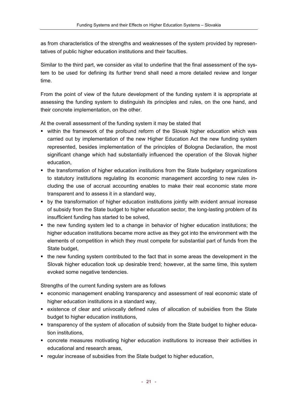as from characteristics of the strengths and weaknesses of the system provided by representatives of public higher education institutions and their faculties.

Similar to the third part, we consider as vital to underline that the final assessment of the system to be used for defining its further trend shall need a more detailed review and longer time.

From the point of view of the future development of the funding system it is appropriate at assessing the funding system to distinguish its principles and rules, on the one hand, and their concrete implementation, on the other.

At the overall assessment of the funding system it may be stated that

- within the framework of the profound reform of the Slovak higher education which was carried out by implementation of the new Higher Education Act the new funding system represented, besides implementation of the principles of Bologna Declaration, the most significant change which had substantially influenced the operation of the Slovak higher education,
- the transformation of higher education institutions from the State budgetary organizations to statutory institutions regulating its economic management according to new rules including the use of accrual accounting enables to make their real economic state more transparent and to assess it in a standard way,
- by the transformation of higher education institutions jointly with evident annual increase of subsidy from the State budget to higher education sector, the long-lasting problem of its insufficient funding has started to be solved,
- the new funding system led to a change in behavior of higher education institutions; the higher education institutions became more active as they got into the environment with the elements of competition in which they must compete for substantial part of funds from the State budget,
- the new funding system contributed to the fact that in some areas the development in the Slovak higher education took up desirable trend; however, at the same time, this system evoked some negative tendencies.

Strengths of the current funding system are as follows

- economic management enabling transparency and assessment of real economic state of higher education institutions in a standard way,
- existence of clear and univocally defined rules of allocation of subsidies from the State budget to higher education institutions,
- transparency of the system of allocation of subsidy from the State budget to higher education institutions,
- concrete measures motivating higher education institutions to increase their activities in educational and research areas,
- regular increase of subsidies from the State budget to higher education,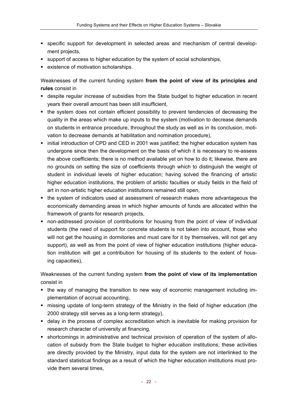- specific support for development in selected areas and mechanism of central development projects,
- support of access to higher education by the system of social scholarships,
- **EXISTENCE OF MOTIVATION SCHOLAR SCHOLAR SCHOLAR SCHOLAR SCHOLAR SCHOLAR SCHOLAR SCHOLAR SCHOLAR SCHOLAR SCHOLAR SCHOLAR SCHOLAR SCHOLAR SCHOLAR SCHOLAR SCHOLAR SCHOLAR SCHOLAR SCHOLAR SCHOLAR SCHOLAR SCHOLAR SCHOLAR SCHOL**

Weaknesses of the current funding system **from the point of view of its principles and rules** consist in

- despite regular increase of subsidies from the State budget to higher education in recent years their overall amount has been still insufficient,
- the system does not contain efficient possibility to prevent tendencies of decreasing the quality in the areas which make up inputs to the system (motivation to decrease demands on students in entrance procedure, throughout the study as well as in its conclusion, motivation to decrease demands at habilitation and nomination procedure),
- initial introduction of CPD and CED in 2001 was justified; the higher education system has undergone since then the development on the basis of which it is necessary to re-assess the above coefficients; there is no method available yet on how to do it; likewise, there are no grounds on setting the size of coefficients through which to distinguish the weight of student in individual levels of higher education; having solved the financing of artistic higher education institutions, the problem of artistic faculties or study fields in the field of art in non-artistic higher education institutions remained still open,
- the system of indicators used at assessment of research makes more advantageous the economically demanding areas in which higher amounts of funds are allocated within the framework of grants for research projects,
- non-addressed provision of contributions for housing from the point of view of individual students (the need of support for concrete students is not taken into account, those who will not get the housing in dormitories and must care for it by themselves, will not get any support), as well as from the point of view of higher education institutions (higher education institution will get a contribution for housing of its students to the extent of housing capacities),

Weaknesses of the current funding system **from the point of view of its implementation**  consist in

- the way of managing the transition to new way of economic management including implementation of accrual accounting,
- missing update of long-term strategy of the Ministry in the field of higher education (the 2000 strategy still serves as a long-term strategy),
- delay in the process of complex accreditation which is inevitable for making provision for research character of university at financing,
- shortcomings in administrative and technical provision of operation of the system of allocation of subsidy from the State budget to higher education institutions; these activities are directly provided by the Ministry, input data for the system are not interlinked to the standard statistical findings as a result of which the higher education institutions must provide them several times,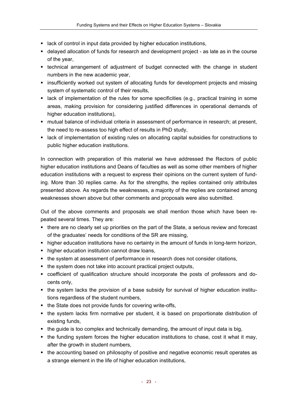- lack of control in input data provided by higher education institutions,
- delayed allocation of funds for research and development project as late as in the course of the year,
- **•** technical arrangement of adjustment of budget connected with the change in student numbers in the new academic year,
- insufficiently worked out system of allocating funds for development projects and missing system of systematic control of their results,
- lack of implementation of the rules for some specificities (e.g., practical training in some areas, making provision for considering justified differences in operational demands of higher education institutions),
- mutual balance of individual criteria in assessment of performance in research; at present, the need to re-assess too high effect of results in PhD study,
- lack of implementation of existing rules on allocating capital subsidies for constructions to public higher education institutions.

In connection with preparation of this material we have addressed the Rectors of public higher education institutions and Deans of faculties as well as some other members of higher education institutions with a request to express their opinions on the current system of funding. More than 30 replies came. As for the strengths, the replies contained only attributes presented above. As regards the weaknesses, a majority of the replies are contained among weaknesses shown above but other comments and proposals were also submitted.

Out of the above comments and proposals we shall mention those which have been repeated several times. They are:

- there are no clearly set up priorities on the part of the State, a serious review and forecast of the graduates' needs for conditions of the SR are missing,
- higher education institutions have no certainty in the amount of funds in long-term horizon,
- **•** higher education institution cannot draw loans,
- the system at assessment of performance in research does not consider citations,
- the system does not take into account practical project outputs,
- coefficient of qualification structure should incorporate the posts of professors and docents only,
- the system lacks the provision of a base subsidy for survival of higher education institutions regardless of the student numbers,
- the State does not provide funds for covering write-offs,
- the system lacks firm normative per student, it is based on proportionate distribution of existing funds,
- $\blacksquare$  the guide is too complex and technically demanding, the amount of input data is big,
- the funding system forces the higher education institutions to chase, cost it what it may, after the growth in student numbers,
- the accounting based on philosophy of positive and negative economic result operates as a strange element in the life of higher education institutions,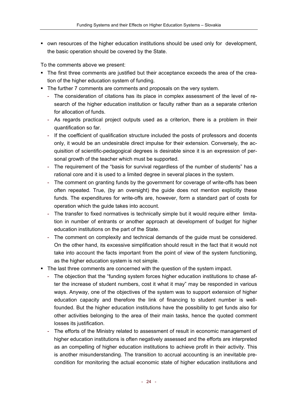• own resources of the higher education institutions should be used only for development, the basic operation should be covered by the State.

To the comments above we present:

- The first three comments are justified but their acceptance exceeds the area of the creation of the higher education system of funding.
- The further 7 comments are comments and proposals on the very system.
	- The consideration of citations has its place in complex assessment of the level of research of the higher education institution or faculty rather than as a separate criterion for allocation of funds.
	- As regards practical project outputs used as a criterion, there is a problem in their quantification so far.
	- If the coefficient of qualification structure included the posts of professors and docents only, it would be an undesirable direct impulse for their extension. Conversely, the acquisition of scientific-pedagogical degrees is desirable since it is an expression of personal growth of the teacher which must be supported.
	- The requirement of the "basis for survival regardless of the number of students" has a rational core and it is used to a limited degree in several places in the system.
	- The comment on granting funds by the government for coverage of write-offs has been often repeated. True, (by an oversight) the guide does not mention explicitly these funds. The expenditures for write-offs are, however, form a standard part of costs for operation which the guide takes into account.
	- The transfer to fixed normatives is technically simple but it would require either limitation in number of entrants or another approach at development of budget for higher education institutions on the part of the State.
	- The comment on complexity and technical demands of the guide must be considered. On the other hand, its excessive simplification should result in the fact that it would not take into account the facts important from the point of view of the system functioning, as the higher education system is not simple.
- The last three comments are concerned with the question of the system impact.
	- The objection that the "funding system forces higher education institutions to chase after the increase of student numbers, cost it what it may" may be responded in various ways. Anyway, one of the objectives of the system was to support extension of higher education capacity and therefore the link of financing to student number is wellfounded. But the higher education institutions have the possibility to get funds also for other activities belonging to the area of their main tasks, hence the quoted comment losses its justification.
	- The efforts of the Ministry related to assessment of result in economic management of higher education institutions is often negatively assessed and the efforts are interpreted as an compelling of higher education institutions to achieve profit in their activity. This is another misunderstanding. The transition to accrual accounting is an inevitable precondition for monitoring the actual economic state of higher education institutions and